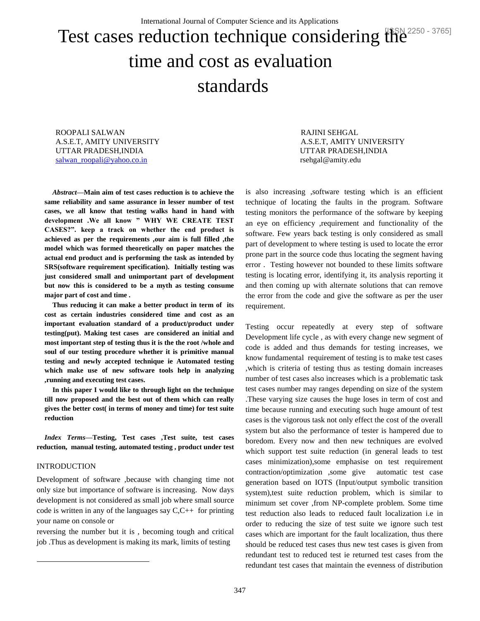# Test cases reduction technique considering the latella 3765] time and cost as evaluation standards

ROOPALI SALWAN RAJINI SEHGAL UTTAR PRADESH,INDIA UTTAR PRADESH,INDIA [salwan\\_roopali@yahoo.co.in](mailto:salwan_roopali@yahoo.co.in) rsehgal@amity.edu

*Abstract***—Main aim of test cases reduction is to achieve the same reliability and same assurance in lesser number of test cases, we all know that testing walks hand in hand with development .We all know " WHY WE CREATE TEST CASES?". keep a track on whether the end product is achieved as per the requirements ,our aim is full filled ,the model which was formed theoretically on paper matches the actual end product and is performing the task as intended by SRS(software requirement specification). Initially testing was just considered small and unimportant part of development but now this is considered to be a myth as testing consume major part of cost and time .**

**Thus reducing it can make a better product in term of its cost as certain industries considered time and cost as an important evaluation standard of a product/product under testing(put). Making test cases are considered an initial and most important step of testing thus it is the the root /whole and soul of our testing procedure whether it is primitive manual testing and newly accepted technique ie Automated testing which make use of new software tools help in analyzing ,running and executing test cases.**

**In this paper I would like to through light on the technique till now proposed and the best out of them which can really gives the better cost( in terms of money and time) for test suite reduction**

*Index Terms***—Testing, Test cases ,Test suite, test cases reduction, manual testing, automated testing , product under test** 

## INTRODUCTION

l

Development of software ,because with changing time not only size but importance of software is increasing. Now days development is not considered as small job where small source code is written in any of the languages say  $C, C++$  for printing your name on console or

reversing the number but it is , becoming tough and critical job .Thus as development is making its mark, limits of testing

A.S.E.T, AMITY UNIVERSITY A.S.E.T, AMITY UNIVERSITY

is also increasing ,software testing which is an efficient technique of locating the faults in the program. Software testing monitors the performance of the software by keeping an eye on efficiency ,requirement and functionality of the software. Few years back testing is only considered as small part of development to where testing is used to locate the error prone part in the source code thus locating the segment having error . Testing however not bounded to these limits software testing is locating error, identifying it, its analysis reporting it and then coming up with alternate solutions that can remove the error from the code and give the software as per the user requirement.

Testing occur repeatedly at every step of software Development life cycle , as with every change new segment of code is added and thus demands for testing increases, we know fundamental requirement of testing is to make test cases ,which is criteria of testing thus as testing domain increases number of test cases also increases which is a problematic task test cases number may ranges depending on size of the system .These varying size causes the huge loses in term of cost and time because running and executing such huge amount of test cases is the vigorous task not only effect the cost of the overall system but also the performance of tester is hampered due to boredom. Every now and then new techniques are evolved which support test suite reduction (in general leads to test cases minimization),some emphasise on test requirement contraction/optimization ,some give automatic test case generation based on IOTS (Input/output symbolic transition system),test suite reduction problem, which is similar to minimum set cover ,from NP-complete problem. Some time test reduction also leads to reduced fault localization i.e in order to reducing the size of test suite we ignore such test cases which are important for the fault localization, thus there should be reduced test cases thus new test cases is given from redundant test to reduced test ie returned test cases from the redundant test cases that maintain the evenness of distribution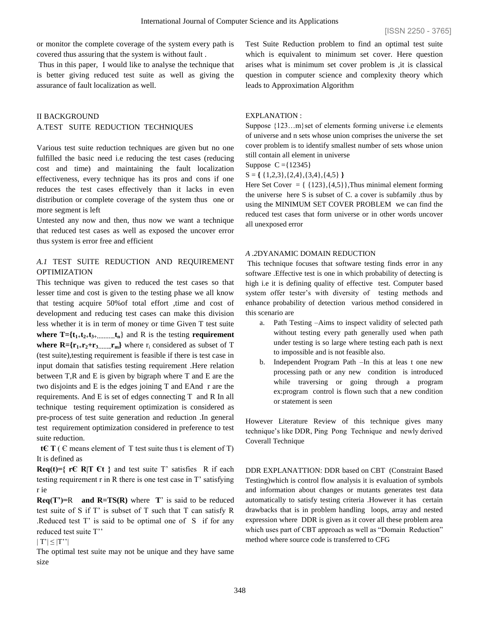or monitor the complete coverage of the system every path is covered thus assuring that the system is without fault .

Thus in this paper, I would like to analyse the technique that is better giving reduced test suite as well as giving the assurance of fault localization as well.

# II BACKGROUND A.TEST SUITE REDUCTION TECHNIQUES

Various test suite reduction techniques are given but no one fulfilled the basic need i.e reducing the test cases (reducing cost and time) and maintaining the fault localization effectiveness, every technique has its pros and cons if one reduces the test cases effectively than it lacks in even distribution or complete coverage of the system thus one or more segment is left

Untested any now and then, thus now we want a technique that reduced test cases as well as exposed the uncover error thus system is error free and efficient

# *A.1* TEST SUITE REDUCTION AND REQUIREMENT **OPTIMIZATION**

This technique was given to reduced the test cases so that lesser time and cost is given to the testing phase we all know that testing acquire 50%of total effort ,time and cost of development and reducing test cases can make this division less whether it is in term of money or time Given T test suite **where T**={ $t_{1+}t_{2+}t_{3+...}$ ,  $t_{n}$ } and R is the testing **requirement where R={** $\mathbf{r}_1$ + $\mathbf{r}_2$ + $\mathbf{r}_3$  ……  $\mathbf{r}_m$ } where  $\mathbf{r}_i$  considered as subset of T (test suite),testing requirement is feasible if there is test case in input domain that satisfies testing requirement .Here relation between T,R and E is given by bigraph where T and E are the two disjoints and E is the edges joining T and EAnd r are the requirements. And E is set of edges connecting T and R In all technique testing requirement optimization is considered as pre-process of test suite generation and reduction .In general test requirement optimization considered in preference to test suite reduction.

**tC**  $T$  ( $C$  means element of  $T$  test suite thus t is element of  $T$ ) It is defined as

**Req(t)={ rC R|T Ct }** and test suite T' satisfies R if each testing requirement r in R there is one test case in T' satisfying r ie

**Req(T')=**R **and R=TS(R)** where **T**' is said to be reduced test suite of S if T' is subset of T such that T can satisfy R .Reduced test T' is said to be optimal one of S if for any reduced test suite T''

 $|T'| \leq |T"|$ 

The optimal test suite may not be unique and they have same size

Test Suite Reduction problem to find an optimal test suite which is equivalent to minimum set cover. Here question arises what is minimum set cover problem is ,it is classical question in computer science and complexity theory which leads to Approximation Algorithm

## EXPLANATION :

Suppose  ${123...m}$  set of elements forming universe i.e elements of universe and n sets whose union comprises the universe the set cover problem is to identify smallest number of sets whose union still contain all element in universe

Suppose  $C = \{12345\}$ 

S = **{** {1,2,3},{2,4},{3,4},{4,5} **}**

Here Set Cover =  $\{ \{123\}, \{4,5\} \}$ , Thus minimal element forming the universe here S is subset of C. a cover is subfamily .thus by using the MINIMUM SET COVER PROBLEM we can find the reduced test cases that form universe or in other words uncover all unexposed error

### *A .2*DYANAMIC DOMAIN REDUCTION

This technique focuses that software testing finds error in any software .Effective test is one in which probability of detecting is high i.e it is defining quality of effective test. Computer based system offer tester's with diversity of testing methods and enhance probability of detection various method considered in this scenario are

- a. Path Testing –Aims to inspect validity of selected path without testing every path generally used when path under testing is so large where testing each path is next to impossible and is not feasible also.
- b. Independent Program Path –In this at leas t one new processing path or any new condition is introduced while traversing or going through a program ex:program control is flown such that a new condition or statement is seen

However Literature Review of this technique gives many technique's like DDR, Ping Pong Technique and newly derived Coverall Technique

DDR EXPLANATTION: DDR based on CBT (Constraint Based Testing)which is control flow analysis it is evaluation of symbols and information about changes or mutants generates test data automatically to satisfy testing criteria .However it has certain drawbacks that is in problem handling loops, array and nested expression where DDR is given as it cover all these problem area which uses part of CBT approach as well as "Domain Reduction" method where source code is transferred to CFG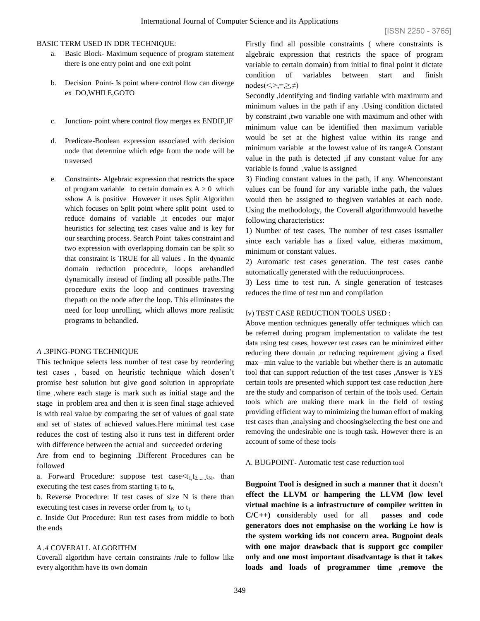# BASIC TERM USED IN DDR TECHNIQUE:

- a. Basic Block- Maximum sequence of program statement there is one entry point and one exit point
- b. Decision Point- Is point where control flow can diverge ex DO,WHILE,GOTO
- c. Junction- point where control flow merges ex ENDIF,IF
- d. Predicate-Boolean expression associated with decision node that determine which edge from the node will be traversed
- e. Constraints- Algebraic expression that restricts the space of program variable to certain domain  $ex A > 0$  which sshow A is positive However it uses Split Algorithm which focuses on Split point where split point used to reduce domains of variable ,it encodes our major heuristics for selecting test cases value and is key for our searching process. Search Point takes constraint and two expression with overlapping domain can be split so that constraint is TRUE for all values . In the dynamic domain reduction procedure, loops arehandled dynamically instead of finding all possible paths.The procedure exits the loop and continues traversing thepath on the node after the loop. This eliminates the need for loop unrolling, which allows more realistic programs to behandled.

#### *A .3*PING-PONG TECHNIQUE

This technique selects less number of test case by reordering test cases , based on heuristic technique which dosen't promise best solution but give good solution in appropriate time ,where each stage is mark such as initial stage and the stage in problem area and then it is seen final stage achieved is with real value by comparing the set of values of goal state and set of states of achieved values.Here minimal test case reduces the cost of testing also it runs test in different order with difference between the actual and succeeded ordering

Are from end to beginning .Different Procedures can be followed

a. Forward Procedure: suppose test case  $than$ executing the test cases from starting  $t_1$  to  $t_N$ .

b. Reverse Procedure: If test cases of size N is there than executing test cases in reverse order from  $t_N$  to  $t_1$ 

c. Inside Out Procedure: Run test cases from middle to both the ends

## *A .4* COVERALL ALGORITHM

Coverall algorithm have certain constraints /rule to follow like every algorithm have its own domain

Firstly find all possible constraints ( where constraints is algebraic expression that restricts the space of program variable to certain domain) from initial to final point it dictate condition of variables between start and finish  $nodes(<, >, =, \ge, \neq)$ 

Secondly ,identifying and finding variable with maximum and minimum values in the path if any .Using condition dictated by constraint ,two variable one with maximum and other with minimum value can be identified then maximum variable would be set at the highest value within its range and minimum variable at the lowest value of its rangeA Constant value in the path is detected , if any constant value for any variable is found ,value is assigned

3) Finding constant values in the path, if any. Whenconstant values can be found for any variable inthe path, the values would then be assigned to thegiven variables at each node. Using the methodology, the Coverall algorithmwould havethe following characteristics:

1) Number of test cases. The number of test cases issmaller since each variable has a fixed value, eitheras maximum, minimum or constant values.

2) Automatic test cases generation. The test cases canbe automatically generated with the reductionprocess.

3) Less time to test run. A single generation of testcases reduces the time of test run and compilation

# Iv) TEST CASE REDUCTION TOOLS USED :

Above mention techniques generally offer techniques which can be referred during program implementation to validate the test data using test cases, however test cases can be minimized either reducing there domain ,or reducing requirement ,giving a fixed max –min value to the variable but whether there is an automatic tool that can support reduction of the test cases ,Answer is YES certain tools are presented which support test case reduction ,here are the study and comparison of certain of the tools used. Certain tools which are making there mark in the field of testing providing efficient way to minimizing the human effort of making test cases than ,analysing and choosing/selecting the best one and removing the undesirable one is tough task. However there is an account of some of these tools

A. BUGPOINT- Automatic test case reduction tool

**Bugpoint Tool is designed in such a manner that it** doesn't **effect the LLVM or hampering the LLVM (low level virtual machine is a infrastructure of compiler written in C/C++) co**nsiderably used for all **passes and code generators does not emphasise on the working i.e how is the system working ids not concern area. Bugpoint deals with one major drawback that is support gcc compiler only and one most important disadvantage is that it takes loads and loads of programmer time ,remove the**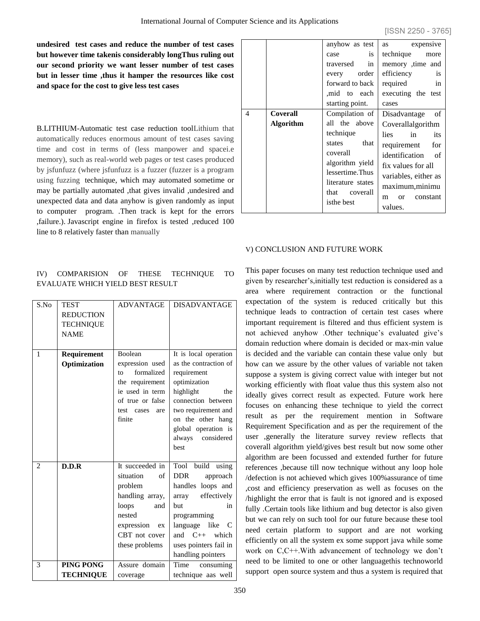**undesired test cases and reduce the number of test cases but however time takenis considerably longThus ruling out our second priority we want lesser number of test cases but in lesser time ,thus it hamper the resources like cost and space for the cost to give less test cases**

B.LITHIUM-Automatic test case reduction toolLithium that automatically reduces enormous amount of test cases saving time and cost in terms of (less manpower and spacei.e memory), such as real-world web pages or test cases produced by jsfunfuzz (where jsfunfuzz is a fuzzer (fuzzer is a program using fuzzing technique, which may automated sometime or may be partially automated ,that gives invalid ,undesired and unexpected data and data anyhow is given randomly as input to computer program. .Then track is kept for the errors ,failure.). Javascript engine in firefox is tested ,reduced 100 line to 8 relatively faster than manually

# IV) COMPARISION OF THESE TECHNIQUE TO EVALUATE WHICH YIELD BEST RESULT

| S.No | <b>TEST</b><br><b>REDUCTION</b><br><b>TECHNIQUE</b><br><b>NAME</b> | <b>ADVANTAGE</b>                                                                                                                                  | <b>DISADVANTAGE</b>                                                                                                                                                                                                        |
|------|--------------------------------------------------------------------|---------------------------------------------------------------------------------------------------------------------------------------------------|----------------------------------------------------------------------------------------------------------------------------------------------------------------------------------------------------------------------------|
| 1    | Requirement<br>Optimization                                        | Boolean<br>expression used<br>formalized<br>to to<br>the requirement<br>ie used in term<br>of true or false<br>test cases<br>are<br>finite        | It is local operation<br>as the contraction of<br>requirement<br>optimization<br>highlight<br>the<br>connection between<br>two requirement and<br>on the other hang<br>global operation is<br>always<br>considered<br>best |
| 2    | D.D.R                                                              | It succeeded in<br>situation<br>of<br>problem<br>handling array,<br>loops<br>and<br>nested<br>expression<br>ex<br>CBT not cover<br>these problems | Tool build<br>using<br><b>DDR</b><br>approach<br>handles loops and<br>effectively<br>array<br>but<br>in<br>programming<br>language like<br>C<br>and $C_{++}$ which<br>uses pointers fail in<br>handling pointers           |
| 3    | PING PONG                                                          | Assure domain                                                                                                                                     | Time<br>consuming                                                                                                                                                                                                          |
|      | <b>TECHNIQUE</b>                                                   | coverage                                                                                                                                          | technique aas well                                                                                                                                                                                                         |

|                                   | anyhow as test<br>is<br>case<br>traversed<br>in<br>every order<br>forward to back<br>mid to each<br>starting point.                                                   | expensive<br>as<br>technique more<br>memory ,time and<br>efficiency<br>$\frac{1}{1}$<br>required<br>in<br>executing the test<br>cases                                                                             |
|-----------------------------------|-----------------------------------------------------------------------------------------------------------------------------------------------------------------------|-------------------------------------------------------------------------------------------------------------------------------------------------------------------------------------------------------------------|
| 4<br>Coverall<br><b>Algorithm</b> | Compilation of<br>all the above<br>technique<br>states that<br>coverall<br>algorithm yield<br>lessertime. Thus<br>literature states<br>that<br>coverall<br>isthe best | - of<br>Disadvantage<br>Coverallalgorithm<br>lies in<br>its<br>requirement for<br>identification of<br>fix values for all<br>variables, either as<br>maximum, minimu<br>constant<br><sub>or</sub><br>m<br>values. |

## V) CONCLUSION AND FUTURE WORK

This paper focuses on many test reduction technique used and given by researcher's,initially test reduction is considered as a area where requirement contraction or the functional expectation of the system is reduced critically but this technique leads to contraction of certain test cases where important requirement is filtered and thus efficient system is not achieved anyhow .Other technique's evaluated give's domain reduction where domain is decided or max-min value is decided and the variable can contain these value only but how can we assure by the other values of variable not taken suppose a system is giving correct value with integer but not working efficiently with float value thus this system also not ideally gives correct result as expected. Future work here focuses on enhancing these technique to yield the correct result as per the requirement mention in Software Requirement Specification and as per the requirement of the user ,generally the literature survey review reflects that coverall algorithm yield/gives best result but now some other algorithm are been focussed and extended further for future references ,because till now technique without any loop hole /defection is not achieved which gives 100%assurance of time ,cost and efficiency preservation as well as focuses on the /highlight the error that is fault is not ignored and is exposed fully .Certain tools like lithium and bug detector is also given but we can rely on such tool for our future because these tool need certain platform to support and are not working efficiently on all the system ex some support java while some work on C,C++.With advancement of technology we don't need to be limited to one or other languagethis technoworld support open source system and thus a system is required that